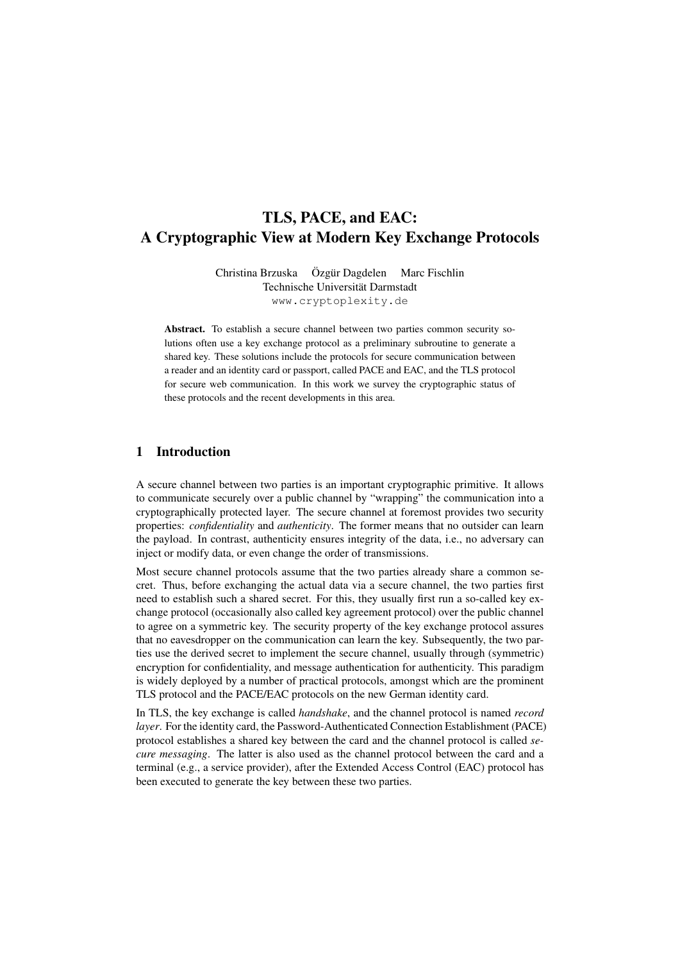# TLS, PACE, and EAC: A Cryptographic View at Modern Key Exchange Protocols

Christina Brzuska Özgür Dagdelen Marc Fischlin Technische Universität Darmstadt www.cryptoplexity.de

Abstract. To establish a secure channel between two parties common security solutions often use a key exchange protocol as a preliminary subroutine to generate a shared key. These solutions include the protocols for secure communication between a reader and an identity card or passport, called PACE and EAC, and the TLS protocol for secure web communication. In this work we survey the cryptographic status of these protocols and the recent developments in this area.

## 1 Introduction

A secure channel between two parties is an important cryptographic primitive. It allows to communicate securely over a public channel by "wrapping" the communication into a cryptographically protected layer. The secure channel at foremost provides two security properties: *confidentiality* and *authenticity*. The former means that no outsider can learn the payload. In contrast, authenticity ensures integrity of the data, i.e., no adversary can inject or modify data, or even change the order of transmissions.

Most secure channel protocols assume that the two parties already share a common secret. Thus, before exchanging the actual data via a secure channel, the two parties first need to establish such a shared secret. For this, they usually first run a so-called key exchange protocol (occasionally also called key agreement protocol) over the public channel to agree on a symmetric key. The security property of the key exchange protocol assures that no eavesdropper on the communication can learn the key. Subsequently, the two parties use the derived secret to implement the secure channel, usually through (symmetric) encryption for confidentiality, and message authentication for authenticity. This paradigm is widely deployed by a number of practical protocols, amongst which are the prominent TLS protocol and the PACE/EAC protocols on the new German identity card.

In TLS, the key exchange is called *handshake*, and the channel protocol is named *record layer*. For the identity card, the Password-Authenticated Connection Establishment (PACE) protocol establishes a shared key between the card and the channel protocol is called *secure messaging*. The latter is also used as the channel protocol between the card and a terminal (e.g., a service provider), after the Extended Access Control (EAC) protocol has been executed to generate the key between these two parties.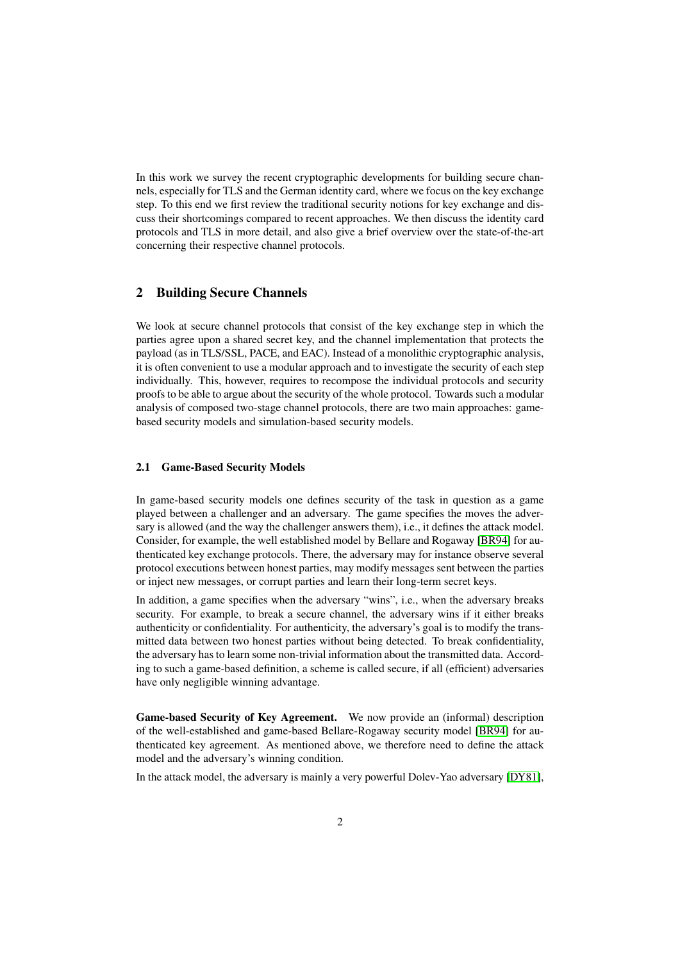<span id="page-1-0"></span>In this work we survey the recent cryptographic developments for building secure channels, especially for TLS and the German identity card, where we focus on the key exchange step. To this end we first review the traditional security notions for key exchange and discuss their shortcomings compared to recent approaches. We then discuss the identity card protocols and TLS in more detail, and also give a brief overview over the state-of-the-art concerning their respective channel protocols.

## 2 Building Secure Channels

We look at secure channel protocols that consist of the key exchange step in which the parties agree upon a shared secret key, and the channel implementation that protects the payload (as in TLS/SSL, PACE, and EAC). Instead of a monolithic cryptographic analysis, it is often convenient to use a modular approach and to investigate the security of each step individually. This, however, requires to recompose the individual protocols and security proofs to be able to argue about the security of the whole protocol. Towards such a modular analysis of composed two-stage channel protocols, there are two main approaches: gamebased security models and simulation-based security models.

#### 2.1 Game-Based Security Models

In game-based security models one defines security of the task in question as a game played between a challenger and an adversary. The game specifies the moves the adversary is allowed (and the way the challenger answers them), i.e., it defines the attack model. Consider, for example, the well established model by Bellare and Rogaway [\[BR94\]](#page-10-0) for authenticated key exchange protocols. There, the adversary may for instance observe several protocol executions between honest parties, may modify messages sent between the parties or inject new messages, or corrupt parties and learn their long-term secret keys.

In addition, a game specifies when the adversary "wins", i.e., when the adversary breaks security. For example, to break a secure channel, the adversary wins if it either breaks authenticity or confidentiality. For authenticity, the adversary's goal is to modify the transmitted data between two honest parties without being detected. To break confidentiality, the adversary has to learn some non-trivial information about the transmitted data. According to such a game-based definition, a scheme is called secure, if all (efficient) adversaries have only negligible winning advantage.

Game-based Security of Key Agreement. We now provide an (informal) description of the well-established and game-based Bellare-Rogaway security model [\[BR94\]](#page-10-0) for authenticated key agreement. As mentioned above, we therefore need to define the attack model and the adversary's winning condition.

In the attack model, the adversary is mainly a very powerful Dolev-Yao adversary [\[DY81\]](#page-11-0),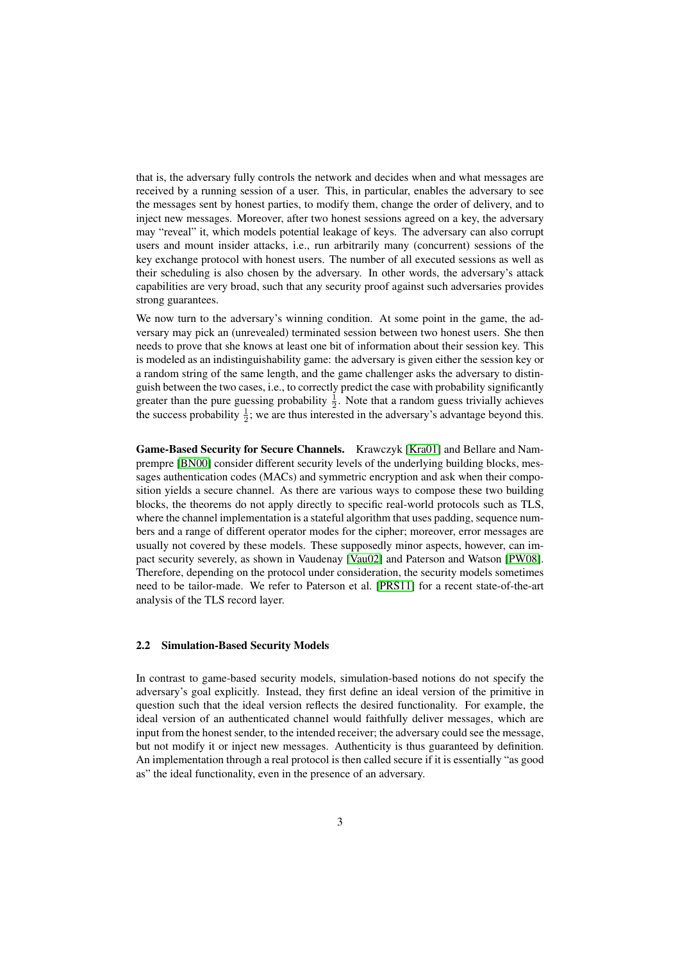<span id="page-2-0"></span>that is, the adversary fully controls the network and decides when and what messages are received by a running session of a user. This, in particular, enables the adversary to see the messages sent by honest parties, to modify them, change the order of delivery, and to inject new messages. Moreover, after two honest sessions agreed on a key, the adversary may "reveal" it, which models potential leakage of keys. The adversary can also corrupt users and mount insider attacks, i.e., run arbitrarily many (concurrent) sessions of the key exchange protocol with honest users. The number of all executed sessions as well as their scheduling is also chosen by the adversary. In other words, the adversary's attack capabilities are very broad, such that any security proof against such adversaries provides strong guarantees.

We now turn to the adversary's winning condition. At some point in the game, the adversary may pick an (unrevealed) terminated session between two honest users. She then needs to prove that she knows at least one bit of information about their session key. This is modeled as an indistinguishability game: the adversary is given either the session key or a random string of the same length, and the game challenger asks the adversary to distinguish between the two cases, i.e., to correctly predict the case with probability significantly greater than the pure guessing probability  $\frac{1}{2}$ . Note that a random guess trivially achieves the success probability  $\frac{1}{2}$ ; we are thus interested in the adversary's advantage beyond this.

Game-Based Security for Secure Channels. Krawczyk [\[Kra01\]](#page-11-1) and Bellare and Namprempre [\[BN00\]](#page-10-1) consider different security levels of the underlying building blocks, messages authentication codes (MACs) and symmetric encryption and ask when their composition yields a secure channel. As there are various ways to compose these two building blocks, the theorems do not apply directly to specific real-world protocols such as TLS, where the channel implementation is a stateful algorithm that uses padding, sequence numbers and a range of different operator modes for the cipher; moreover, error messages are usually not covered by these models. These supposedly minor aspects, however, can impact security severely, as shown in Vaudenay [\[Vau02\]](#page-11-2) and Paterson and Watson [\[PW08\]](#page-11-3). Therefore, depending on the protocol under consideration, the security models sometimes need to be tailor-made. We refer to Paterson et al. [\[PRS11\]](#page-11-4) for a recent state-of-the-art analysis of the TLS record layer.

#### 2.2 Simulation-Based Security Models

In contrast to game-based security models, simulation-based notions do not specify the adversary's goal explicitly. Instead, they first define an ideal version of the primitive in question such that the ideal version reflects the desired functionality. For example, the ideal version of an authenticated channel would faithfully deliver messages, which are input from the honest sender, to the intended receiver; the adversary could see the message, but not modify it or inject new messages. Authenticity is thus guaranteed by definition. An implementation through a real protocol is then called secure if it is essentially "as good as" the ideal functionality, even in the presence of an adversary.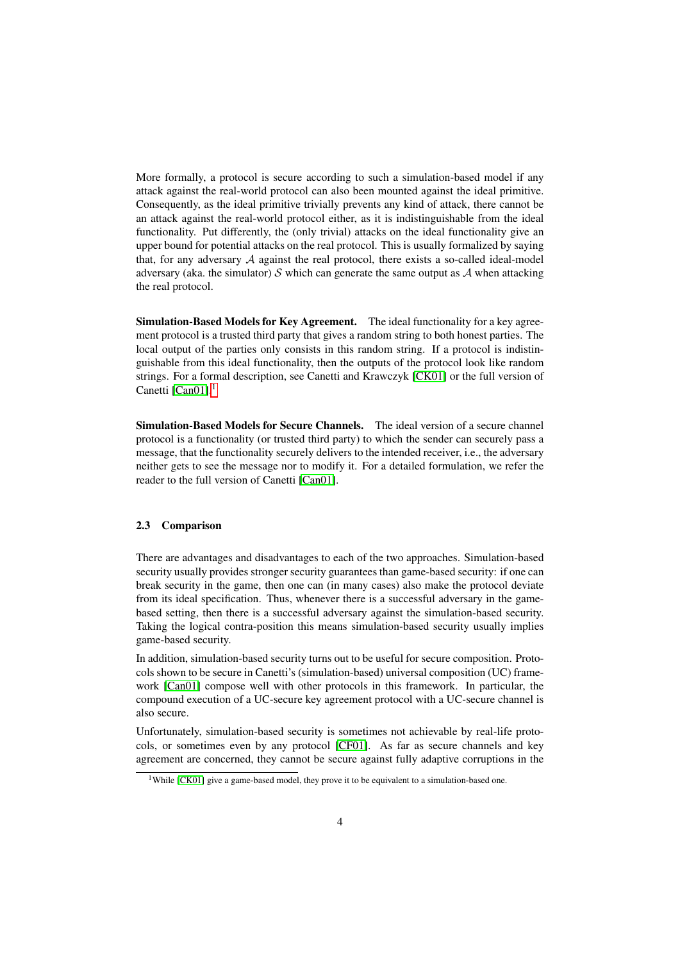<span id="page-3-2"></span>More formally, a protocol is secure according to such a simulation-based model if any attack against the real-world protocol can also been mounted against the ideal primitive. Consequently, as the ideal primitive trivially prevents any kind of attack, there cannot be an attack against the real-world protocol either, as it is indistinguishable from the ideal functionality. Put differently, the (only trivial) attacks on the ideal functionality give an upper bound for potential attacks on the real protocol. This is usually formalized by saying that, for any adversary  $A$  against the real protocol, there exists a so-called ideal-model adversary (aka. the simulator) S which can generate the same output as A when attacking the real protocol.

Simulation-Based Models for Key Agreement. The ideal functionality for a key agreement protocol is a trusted third party that gives a random string to both honest parties. The local output of the parties only consists in this random string. If a protocol is indistinguishable from this ideal functionality, then the outputs of the protocol look like random strings. For a formal description, see Canetti and Krawczyk [\[CK01\]](#page-10-2) or the full version of Canetti  $[Can01]$ <sup>[1](#page-3-0)</sup>

Simulation-Based Models for Secure Channels. The ideal version of a secure channel protocol is a functionality (or trusted third party) to which the sender can securely pass a message, that the functionality securely delivers to the intended receiver, i.e., the adversary neither gets to see the message nor to modify it. For a detailed formulation, we refer the reader to the full version of Canetti [\[Can01\]](#page-10-3).

### <span id="page-3-1"></span>2.3 Comparison

There are advantages and disadvantages to each of the two approaches. Simulation-based security usually provides stronger security guarantees than game-based security: if one can break security in the game, then one can (in many cases) also make the protocol deviate from its ideal specification. Thus, whenever there is a successful adversary in the gamebased setting, then there is a successful adversary against the simulation-based security. Taking the logical contra-position this means simulation-based security usually implies game-based security.

In addition, simulation-based security turns out to be useful for secure composition. Protocols shown to be secure in Canetti's (simulation-based) universal composition (UC) framework [\[Can01\]](#page-10-3) compose well with other protocols in this framework. In particular, the compound execution of a UC-secure key agreement protocol with a UC-secure channel is also secure.

Unfortunately, simulation-based security is sometimes not achievable by real-life protocols, or sometimes even by any protocol [\[CF01\]](#page-10-4). As far as secure channels and key agreement are concerned, they cannot be secure against fully adaptive corruptions in the

<span id="page-3-0"></span> $\overline{11}$ While [\[CK01\]](#page-10-2) give a game-based model, they prove it to be equivalent to a simulation-based one.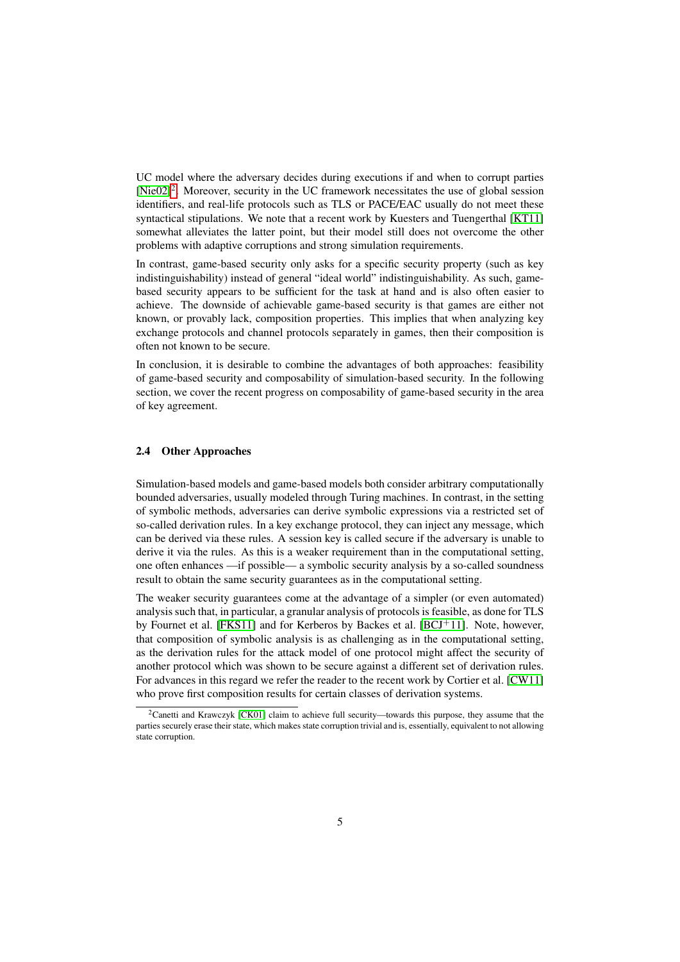<span id="page-4-1"></span>UC model where the adversary decides during executions if and when to corrupt parties  $[Nie02]^2$  $[Nie02]^2$  $[Nie02]^2$ . Moreover, security in the UC framework necessitates the use of global session identifiers, and real-life protocols such as TLS or PACE/EAC usually do not meet these syntactical stipulations. We note that a recent work by Kuesters and Tuengerthal [\[KT11\]](#page-11-6) somewhat alleviates the latter point, but their model still does not overcome the other problems with adaptive corruptions and strong simulation requirements.

In contrast, game-based security only asks for a specific security property (such as key indistinguishability) instead of general "ideal world" indistinguishability. As such, gamebased security appears to be sufficient for the task at hand and is also often easier to achieve. The downside of achievable game-based security is that games are either not known, or provably lack, composition properties. This implies that when analyzing key exchange protocols and channel protocols separately in games, then their composition is often not known to be secure.

In conclusion, it is desirable to combine the advantages of both approaches: feasibility of game-based security and composability of simulation-based security. In the following section, we cover the recent progress on composability of game-based security in the area of key agreement.

### 2.4 Other Approaches

Simulation-based models and game-based models both consider arbitrary computationally bounded adversaries, usually modeled through Turing machines. In contrast, in the setting of symbolic methods, adversaries can derive symbolic expressions via a restricted set of so-called derivation rules. In a key exchange protocol, they can inject any message, which can be derived via these rules. A session key is called secure if the adversary is unable to derive it via the rules. As this is a weaker requirement than in the computational setting, one often enhances —if possible— a symbolic security analysis by a so-called soundness result to obtain the same security guarantees as in the computational setting.

The weaker security guarantees come at the advantage of a simpler (or even automated) analysis such that, in particular, a granular analysis of protocols is feasible, as done for TLS by Fournet et al. [\[FKS11\]](#page-11-7) and for Kerberos by Backes et al. [\[BCJ](#page-10-5)<sup>+</sup>11]. Note, however, that composition of symbolic analysis is as challenging as in the computational setting, as the derivation rules for the attack model of one protocol might affect the security of another protocol which was shown to be secure against a different set of derivation rules. For advances in this regard we refer the reader to the recent work by Cortier et al. [\[CW11\]](#page-10-6) who prove first composition results for certain classes of derivation systems.

<span id="page-4-0"></span><sup>&</sup>lt;sup>2</sup>Canetti and Krawczyk [\[CK01\]](#page-10-2) claim to achieve full security—towards this purpose, they assume that the parties securely erase their state, which makes state corruption trivial and is, essentially, equivalent to not allowing state corruption.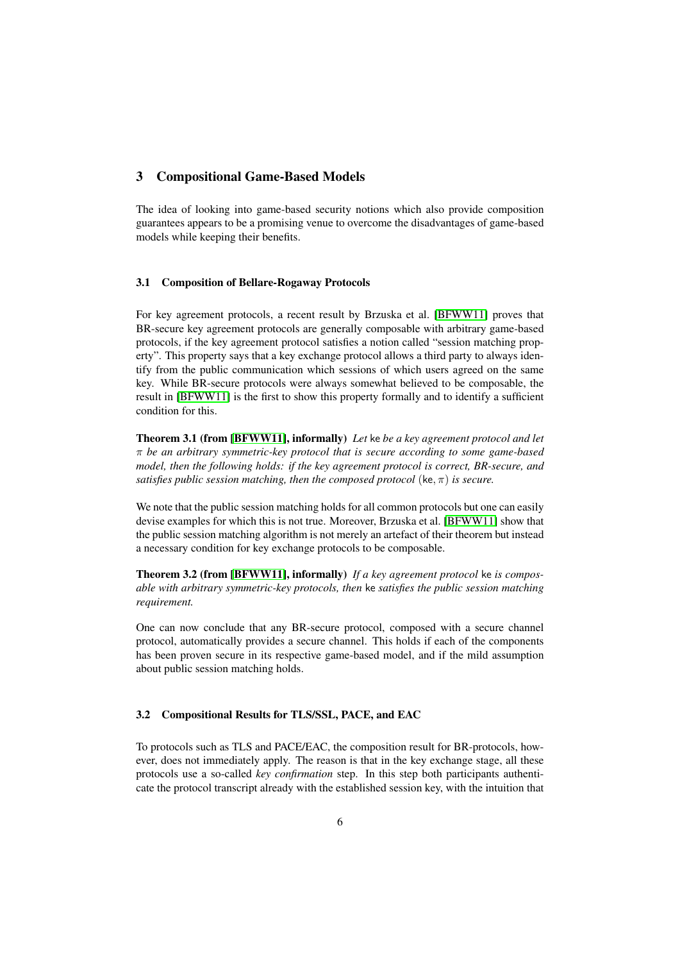## <span id="page-5-0"></span>3 Compositional Game-Based Models

The idea of looking into game-based security notions which also provide composition guarantees appears to be a promising venue to overcome the disadvantages of game-based models while keeping their benefits.

## 3.1 Composition of Bellare-Rogaway Protocols

For key agreement protocols, a recent result by Brzuska et al. [\[BFWW11\]](#page-10-7) proves that BR-secure key agreement protocols are generally composable with arbitrary game-based protocols, if the key agreement protocol satisfies a notion called "session matching property". This property says that a key exchange protocol allows a third party to always identify from the public communication which sessions of which users agreed on the same key. While BR-secure protocols were always somewhat believed to be composable, the result in [\[BFWW11\]](#page-10-7) is the first to show this property formally and to identify a sufficient condition for this.

Theorem 3.1 (from [\[BFWW11\]](#page-10-7), informally) *Let* ke *be a key agreement protocol and let* π *be an arbitrary symmetric-key protocol that is secure according to some game-based model, then the following holds: if the key agreement protocol is correct, BR-secure, and satisfies public session matching, then the composed protocol* (ke, π) *is secure.*

We note that the public session matching holds for all common protocols but one can easily devise examples for which this is not true. Moreover, Brzuska et al. [\[BFWW11\]](#page-10-7) show that the public session matching algorithm is not merely an artefact of their theorem but instead a necessary condition for key exchange protocols to be composable.

Theorem 3.2 (from [\[BFWW11\]](#page-10-7), informally) *If a key agreement protocol* ke *is composable with arbitrary symmetric-key protocols, then* ke *satisfies the public session matching requirement.*

One can now conclude that any BR-secure protocol, composed with a secure channel protocol, automatically provides a secure channel. This holds if each of the components has been proven secure in its respective game-based model, and if the mild assumption about public session matching holds.

## 3.2 Compositional Results for TLS/SSL, PACE, and EAC

To protocols such as TLS and PACE/EAC, the composition result for BR-protocols, however, does not immediately apply. The reason is that in the key exchange stage, all these protocols use a so-called *key confirmation* step. In this step both participants authenticate the protocol transcript already with the established session key, with the intuition that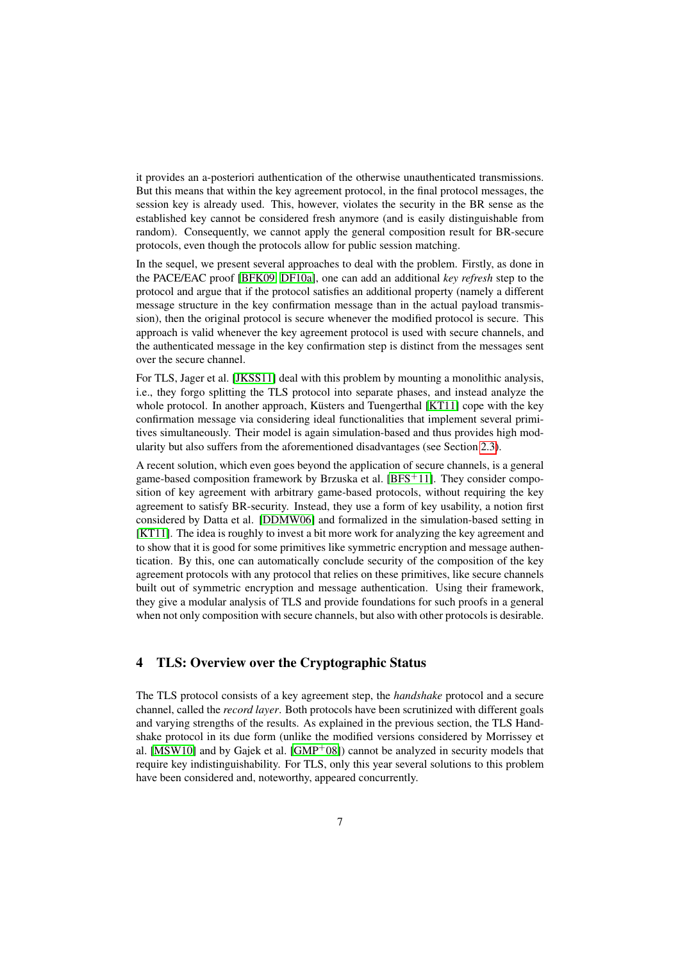<span id="page-6-0"></span>it provides an a-posteriori authentication of the otherwise unauthenticated transmissions. But this means that within the key agreement protocol, in the final protocol messages, the session key is already used. This, however, violates the security in the BR sense as the established key cannot be considered fresh anymore (and is easily distinguishable from random). Consequently, we cannot apply the general composition result for BR-secure protocols, even though the protocols allow for public session matching.

In the sequel, we present several approaches to deal with the problem. Firstly, as done in the PACE/EAC proof [\[BFK09,](#page-10-8) [DF10a\]](#page-10-9), one can add an additional *key refresh* step to the protocol and argue that if the protocol satisfies an additional property (namely a different message structure in the key confirmation message than in the actual payload transmission), then the original protocol is secure whenever the modified protocol is secure. This approach is valid whenever the key agreement protocol is used with secure channels, and the authenticated message in the key confirmation step is distinct from the messages sent over the secure channel.

For TLS, Jager et al. [\[JKSS11\]](#page-11-8) deal with this problem by mounting a monolithic analysis, i.e., they forgo splitting the TLS protocol into separate phases, and instead analyze the whole protocol. In another approach, Küsters and Tuengerthal [\[KT11\]](#page-11-6) cope with the key confirmation message via considering ideal functionalities that implement several primitives simultaneously. Their model is again simulation-based and thus provides high modularity but also suffers from the aforementioned disadvantages (see Section [2.3\)](#page-3-1).

A recent solution, which even goes beyond the application of secure channels, is a general game-based composition framework by Brzuska et al.  $[BFS^+11]$  $[BFS^+11]$ . They consider composition of key agreement with arbitrary game-based protocols, without requiring the key agreement to satisfy BR-security. Instead, they use a form of key usability, a notion first considered by Datta et al. [\[DDMW06\]](#page-10-11) and formalized in the simulation-based setting in [\[KT11\]](#page-11-6). The idea is roughly to invest a bit more work for analyzing the key agreement and to show that it is good for some primitives like symmetric encryption and message authentication. By this, one can automatically conclude security of the composition of the key agreement protocols with any protocol that relies on these primitives, like secure channels built out of symmetric encryption and message authentication. Using their framework, they give a modular analysis of TLS and provide foundations for such proofs in a general when not only composition with secure channels, but also with other protocols is desirable.

## 4 TLS: Overview over the Cryptographic Status

The TLS protocol consists of a key agreement step, the *handshake* protocol and a secure channel, called the *record layer*. Both protocols have been scrutinized with different goals and varying strengths of the results. As explained in the previous section, the TLS Handshake protocol in its due form (unlike the modified versions considered by Morrissey et al. [\[MSW10\]](#page-11-9) and by Gajek et al.  $\text{[GMP}^+08\text{]}$  $\text{[GMP}^+08\text{]}$  $\text{[GMP}^+08\text{]}$  cannot be analyzed in security models that require key indistinguishability. For TLS, only this year several solutions to this problem have been considered and, noteworthy, appeared concurrently.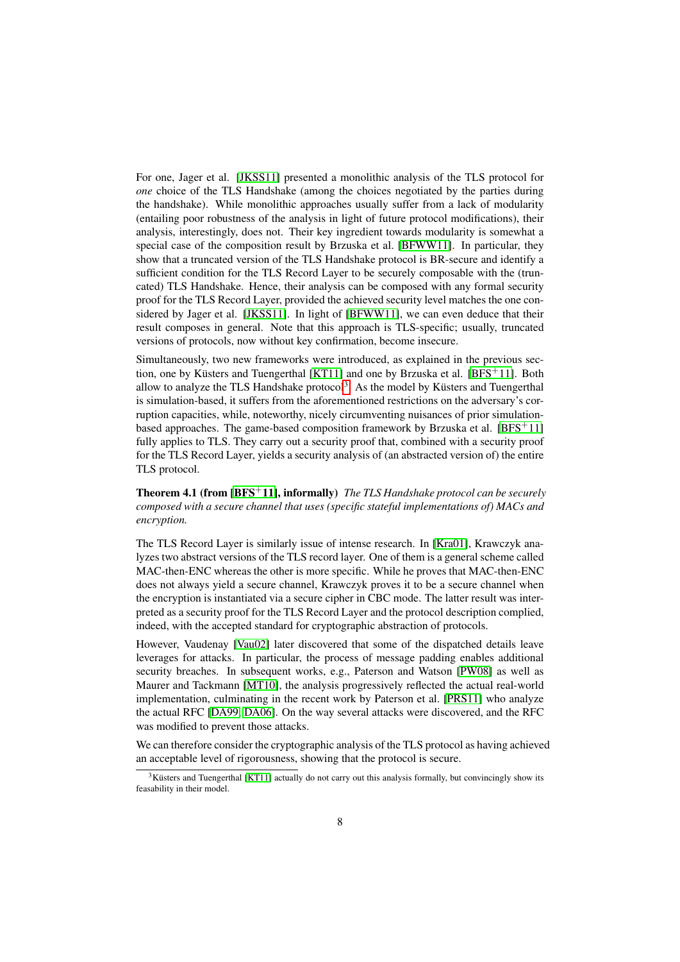<span id="page-7-1"></span>For one, Jager et al. [\[JKSS11\]](#page-11-8) presented a monolithic analysis of the TLS protocol for *one* choice of the TLS Handshake (among the choices negotiated by the parties during the handshake). While monolithic approaches usually suffer from a lack of modularity (entailing poor robustness of the analysis in light of future protocol modifications), their analysis, interestingly, does not. Their key ingredient towards modularity is somewhat a special case of the composition result by Brzuska et al. [\[BFWW11\]](#page-10-7). In particular, they show that a truncated version of the TLS Handshake protocol is BR-secure and identify a sufficient condition for the TLS Record Layer to be securely composable with the (truncated) TLS Handshake. Hence, their analysis can be composed with any formal security proof for the TLS Record Layer, provided the achieved security level matches the one considered by Jager et al. [\[JKSS11\]](#page-11-8). In light of [\[BFWW11\]](#page-10-7), we can even deduce that their result composes in general. Note that this approach is TLS-specific; usually, truncated versions of protocols, now without key confirmation, become insecure.

Simultaneously, two new frameworks were introduced, as explained in the previous sec-tion, one by Küsters and Tuengerthal [\[KT11\]](#page-11-6) and one by Brzuska et al. [\[BFS](#page-10-10)<sup>+</sup>11]. Both allow to analyze the TLS Handshake protocol<sup>[3](#page-7-0)</sup>. As the model by Küsters and Tuengerthal is simulation-based, it suffers from the aforementioned restrictions on the adversary's corruption capacities, while, noteworthy, nicely circumventing nuisances of prior simulationbased approaches. The game-based composition framework by Brzuska et al.  $[BFS+11]$  $[BFS+11]$ fully applies to TLS. They carry out a security proof that, combined with a security proof for the TLS Record Layer, yields a security analysis of (an abstracted version of) the entire TLS protocol.

Theorem 4.1 (from [\[BFS](#page-10-10)+11], informally) *The TLS Handshake protocol can be securely composed with a secure channel that uses (specific stateful implementations of) MACs and encryption.*

The TLS Record Layer is similarly issue of intense research. In [\[Kra01\]](#page-11-1), Krawczyk analyzes two abstract versions of the TLS record layer. One of them is a general scheme called MAC-then-ENC whereas the other is more specific. While he proves that MAC-then-ENC does not always yield a secure channel, Krawczyk proves it to be a secure channel when the encryption is instantiated via a secure cipher in CBC mode. The latter result was interpreted as a security proof for the TLS Record Layer and the protocol description complied, indeed, with the accepted standard for cryptographic abstraction of protocols.

However, Vaudenay [\[Vau02\]](#page-11-2) later discovered that some of the dispatched details leave leverages for attacks. In particular, the process of message padding enables additional security breaches. In subsequent works, e.g., Paterson and Watson [\[PW08\]](#page-11-3) as well as Maurer and Tackmann [\[MT10\]](#page-11-11), the analysis progressively reflected the actual real-world implementation, culminating in the recent work by Paterson et al. [\[PRS11\]](#page-11-4) who analyze the actual RFC [\[DA99,](#page-10-12) [DA06\]](#page-10-13). On the way several attacks were discovered, and the RFC was modified to prevent those attacks.

We can therefore consider the cryptographic analysis of the TLS protocol as having achieved an acceptable level of rigorousness, showing that the protocol is secure.

<span id="page-7-0"></span> $3$ Küsters and Tuengerthal [\[KT11\]](#page-11-6) actually do not carry out this analysis formally, but convincingly show its feasability in their model.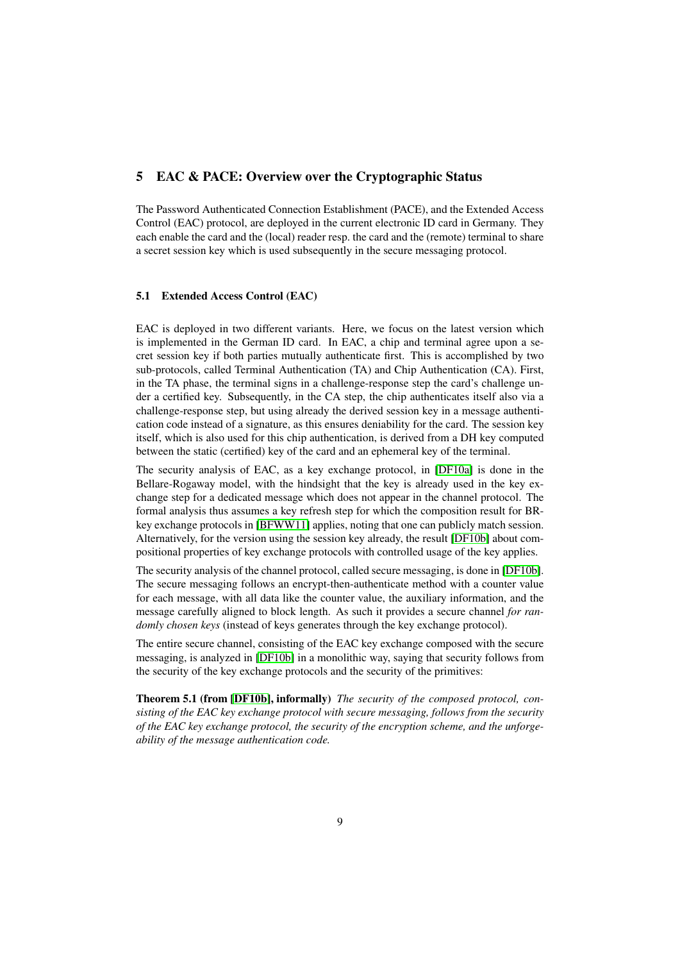## <span id="page-8-0"></span>5 EAC & PACE: Overview over the Cryptographic Status

The Password Authenticated Connection Establishment (PACE), and the Extended Access Control (EAC) protocol, are deployed in the current electronic ID card in Germany. They each enable the card and the (local) reader resp. the card and the (remote) terminal to share a secret session key which is used subsequently in the secure messaging protocol.

#### 5.1 Extended Access Control (EAC)

EAC is deployed in two different variants. Here, we focus on the latest version which is implemented in the German ID card. In EAC, a chip and terminal agree upon a secret session key if both parties mutually authenticate first. This is accomplished by two sub-protocols, called Terminal Authentication (TA) and Chip Authentication (CA). First, in the TA phase, the terminal signs in a challenge-response step the card's challenge under a certified key. Subsequently, in the CA step, the chip authenticates itself also via a challenge-response step, but using already the derived session key in a message authentication code instead of a signature, as this ensures deniability for the card. The session key itself, which is also used for this chip authentication, is derived from a DH key computed between the static (certified) key of the card and an ephemeral key of the terminal.

The security analysis of EAC, as a key exchange protocol, in [\[DF10a\]](#page-10-9) is done in the Bellare-Rogaway model, with the hindsight that the key is already used in the key exchange step for a dedicated message which does not appear in the channel protocol. The formal analysis thus assumes a key refresh step for which the composition result for BRkey exchange protocols in [\[BFWW11\]](#page-10-7) applies, noting that one can publicly match session. Alternatively, for the version using the session key already, the result [\[DF10b\]](#page-11-12) about compositional properties of key exchange protocols with controlled usage of the key applies.

The security analysis of the channel protocol, called secure messaging, is done in [\[DF10b\]](#page-11-12). The secure messaging follows an encrypt-then-authenticate method with a counter value for each message, with all data like the counter value, the auxiliary information, and the message carefully aligned to block length. As such it provides a secure channel *for randomly chosen keys* (instead of keys generates through the key exchange protocol).

The entire secure channel, consisting of the EAC key exchange composed with the secure messaging, is analyzed in [\[DF10b\]](#page-11-12) in a monolithic way, saying that security follows from the security of the key exchange protocols and the security of the primitives:

Theorem 5.1 (from [\[DF10b\]](#page-11-12), informally) *The security of the composed protocol, consisting of the EAC key exchange protocol with secure messaging, follows from the security of the EAC key exchange protocol, the security of the encryption scheme, and the unforgeability of the message authentication code.*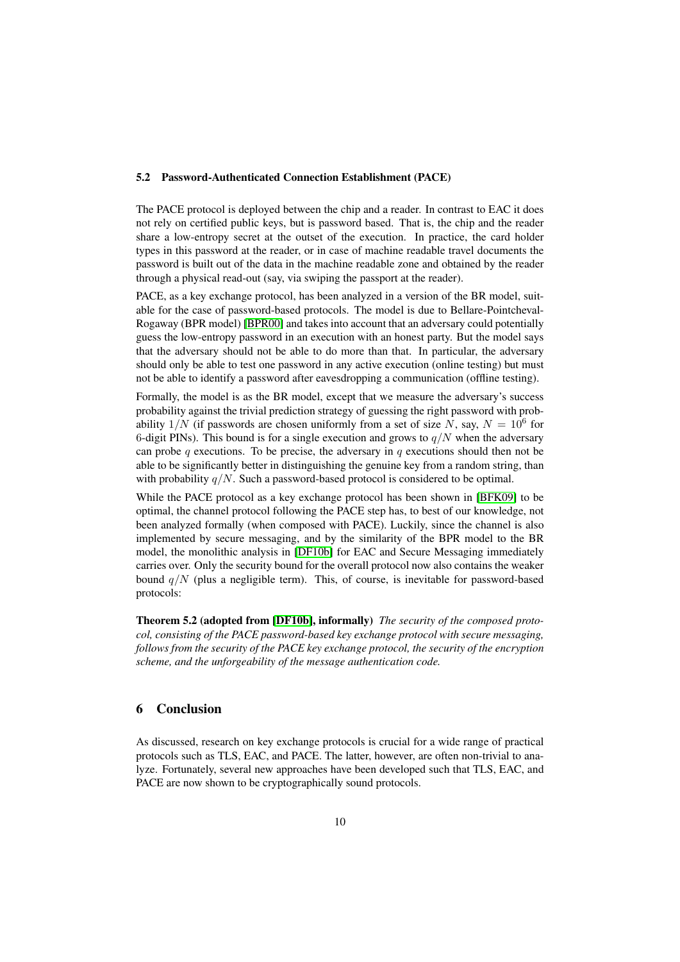#### <span id="page-9-0"></span>5.2 Password-Authenticated Connection Establishment (PACE)

The PACE protocol is deployed between the chip and a reader. In contrast to EAC it does not rely on certified public keys, but is password based. That is, the chip and the reader share a low-entropy secret at the outset of the execution. In practice, the card holder types in this password at the reader, or in case of machine readable travel documents the password is built out of the data in the machine readable zone and obtained by the reader through a physical read-out (say, via swiping the passport at the reader).

PACE, as a key exchange protocol, has been analyzed in a version of the BR model, suitable for the case of password-based protocols. The model is due to Bellare-Pointcheval-Rogaway (BPR model) [\[BPR00\]](#page-10-14) and takes into account that an adversary could potentially guess the low-entropy password in an execution with an honest party. But the model says that the adversary should not be able to do more than that. In particular, the adversary should only be able to test one password in any active execution (online testing) but must not be able to identify a password after eavesdropping a communication (offline testing).

Formally, the model is as the BR model, except that we measure the adversary's success probability against the trivial prediction strategy of guessing the right password with probability  $1/N$  (if passwords are chosen uniformly from a set of size N, say,  $N = 10^6$  for 6-digit PINs). This bound is for a single execution and grows to  $q/N$  when the adversary can probe q executions. To be precise, the adversary in q executions should then not be able to be significantly better in distinguishing the genuine key from a random string, than with probability  $q/N$ . Such a password-based protocol is considered to be optimal.

While the PACE protocol as a key exchange protocol has been shown in [\[BFK09\]](#page-10-8) to be optimal, the channel protocol following the PACE step has, to best of our knowledge, not been analyzed formally (when composed with PACE). Luckily, since the channel is also implemented by secure messaging, and by the similarity of the BPR model to the BR model, the monolithic analysis in [\[DF10b\]](#page-11-12) for EAC and Secure Messaging immediately carries over. Only the security bound for the overall protocol now also contains the weaker bound  $q/N$  (plus a negligible term). This, of course, is inevitable for password-based protocols:

Theorem 5.2 (adopted from [\[DF10b\]](#page-11-12), informally) *The security of the composed protocol, consisting of the PACE password-based key exchange protocol with secure messaging, follows from the security of the PACE key exchange protocol, the security of the encryption scheme, and the unforgeability of the message authentication code.*

# 6 Conclusion

As discussed, research on key exchange protocols is crucial for a wide range of practical protocols such as TLS, EAC, and PACE. The latter, however, are often non-trivial to analyze. Fortunately, several new approaches have been developed such that TLS, EAC, and PACE are now shown to be cryptographically sound protocols.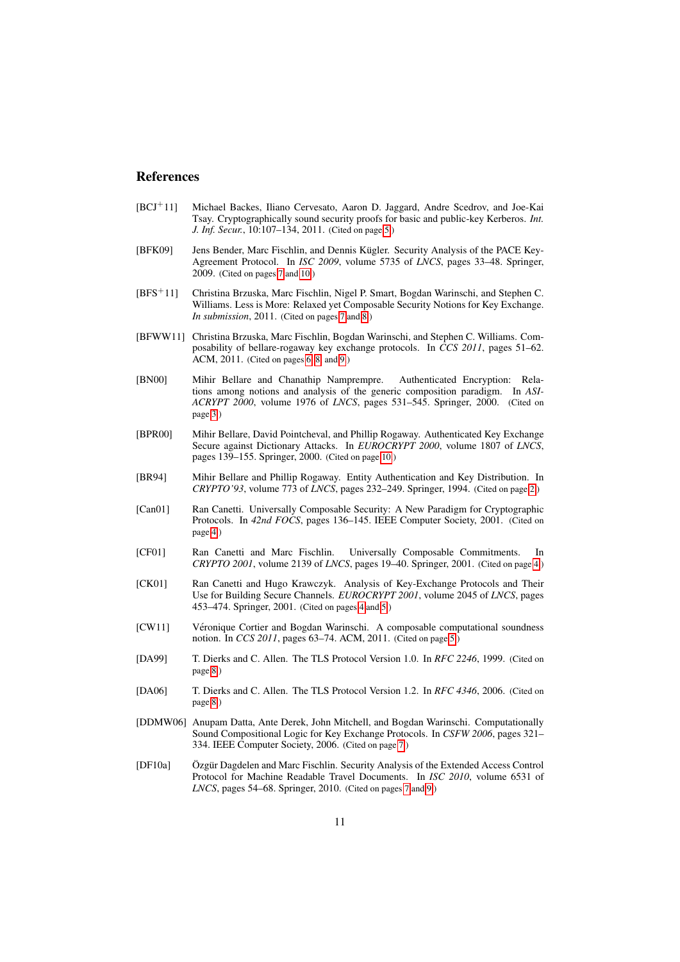### References

- <span id="page-10-5"></span>[BCJ<sup>+</sup>11] Michael Backes, Iliano Cervesato, Aaron D. Jaggard, Andre Scedrov, and Joe-Kai Tsay. Cryptographically sound security proofs for basic and public-key Kerberos. *Int. J. Inf. Secur.*, 10:107–134, 2011. (Cited on page [5.](#page-4-1))
- <span id="page-10-8"></span>[BFK09] Jens Bender, Marc Fischlin, and Dennis Kügler. Security Analysis of the PACE Key-Agreement Protocol. In *ISC 2009*, volume 5735 of *LNCS*, pages 33–48. Springer, 2009. (Cited on pages [7](#page-6-0) and [10.](#page-9-0))
- <span id="page-10-10"></span>[BFS<sup>+</sup>11] Christina Brzuska, Marc Fischlin, Nigel P. Smart, Bogdan Warinschi, and Stephen C. Williams. Less is More: Relaxed yet Composable Security Notions for Key Exchange. *In submission*, 2011. (Cited on pages [7](#page-6-0) and [8.](#page-7-1))
- <span id="page-10-7"></span>[BFWW11] Christina Brzuska, Marc Fischlin, Bogdan Warinschi, and Stephen C. Williams. Composability of bellare-rogaway key exchange protocols. In *CCS 2011*, pages 51–62.  $ACM$ ,  $2011$ . (Cited on pages [6,](#page-5-0) [8,](#page-7-1) and [9.](#page-8-0))
- <span id="page-10-1"></span>[BN00] Mihir Bellare and Chanathip Namprempre. Authenticated Encryption: Relations among notions and analysis of the generic composition paradigm. In *ASI-ACRYPT 2000*, volume 1976 of *LNCS*, pages 531–545. Springer, 2000. (Cited on page [3.](#page-2-0))
- <span id="page-10-14"></span>[BPR00] Mihir Bellare, David Pointcheval, and Phillip Rogaway. Authenticated Key Exchange Secure against Dictionary Attacks. In *EUROCRYPT 2000*, volume 1807 of *LNCS*, pages 139–155. Springer, 2000. (Cited on page [10.](#page-9-0))
- <span id="page-10-0"></span>[BR94] Mihir Bellare and Phillip Rogaway. Entity Authentication and Key Distribution. In *CRYPTO'93*, volume 773 of *LNCS*, pages 232–249. Springer, 1994. (Cited on page [2.](#page-1-0))
- <span id="page-10-3"></span>[Can01] Ran Canetti. Universally Composable Security: A New Paradigm for Cryptographic Protocols. In 42nd FOCS, pages 136–145. IEEE Computer Society, 2001. (Cited on page [4.](#page-3-2))
- <span id="page-10-4"></span>[CF01] Ran Canetti and Marc Fischlin. Universally Composable Commitments. In *CRYPTO 2001*, volume 2139 of *LNCS*, pages 19–40. Springer, 2001. (Cited on page [4.](#page-3-2))
- <span id="page-10-2"></span>[CK01] Ran Canetti and Hugo Krawczyk. Analysis of Key-Exchange Protocols and Their Use for Building Secure Channels. *EUROCRYPT 2001*, volume 2045 of *LNCS*, pages 453–474. Springer, 2001. (Cited on pages [4](#page-3-2) and [5.](#page-4-1))
- <span id="page-10-6"></span>[CW11] Véronique Cortier and Bogdan Warinschi. A composable computational soundness notion. In *CCS 2011*, pages 63–74. ACM, 2011. (Cited on page [5.](#page-4-1))
- <span id="page-10-12"></span>[DA99] T. Dierks and C. Allen. The TLS Protocol Version 1.0. In *RFC 2246*, 1999. (Cited on page [8.](#page-7-1))
- <span id="page-10-13"></span>[DA06] T. Dierks and C. Allen. The TLS Protocol Version 1.2. In *RFC 4346*, 2006. (Cited on page [8.](#page-7-1))
- <span id="page-10-11"></span>[DDMW06] Anupam Datta, Ante Derek, John Mitchell, and Bogdan Warinschi. Computationally Sound Compositional Logic for Key Exchange Protocols. In *CSFW 2006*, pages 321– 334. IEEE Computer Society, 2006. (Cited on page [7.](#page-6-0))
- <span id="page-10-9"></span>[DF10a] Özgür Dagdelen and Marc Fischlin. Security Analysis of the Extended Access Control Protocol for Machine Readable Travel Documents. In *ISC 2010*, volume 6531 of *LNCS*, pages 54–68. Springer, 2010. (Cited on pages [7](#page-6-0) and [9.](#page-8-0))